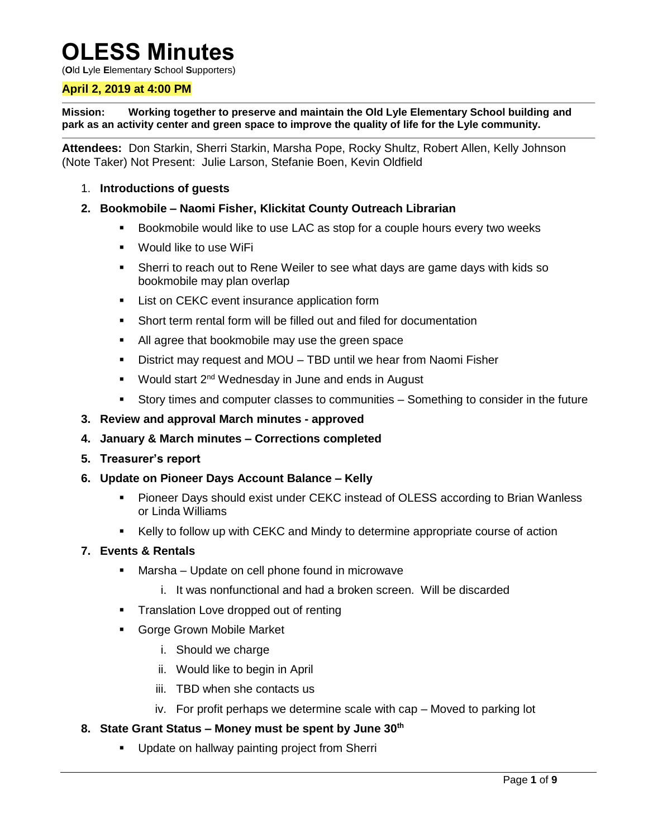# **OLESS Minutes**

(**O**ld **L**yle **E**lementary **S**chool **S**upporters)

# **April 2, 2019 at 4:00 PM**

**Mission: Working together to preserve and maintain the Old Lyle Elementary School building and park as an activity center and green space to improve the quality of life for the Lyle community.**

**Attendees:** Don Starkin, Sherri Starkin, Marsha Pope, Rocky Shultz, Robert Allen, Kelly Johnson (Note Taker) Not Present: Julie Larson, Stefanie Boen, Kevin Oldfield

1. **Introductions of guests**

## **2. Bookmobile – Naomi Fisher, Klickitat County Outreach Librarian**

- Bookmobile would like to use LAC as stop for a couple hours every two weeks
- Would like to use WiFi
- Sherri to reach out to Rene Weiler to see what days are game days with kids so bookmobile may plan overlap
- **EXEC EVENT** List on CEKC event insurance application form
- Short term rental form will be filled out and filed for documentation
- All agree that bookmobile may use the green space
- District may request and MOU TBD until we hear from Naomi Fisher
- **Would start 2<sup>nd</sup> Wednesday in June and ends in August**
- Story times and computer classes to communities Something to consider in the future
- **3. Review and approval March minutes - approved**
- **4. January & March minutes – Corrections completed**
- **5. Treasurer's report**
- **6. Update on Pioneer Days Account Balance – Kelly**
	- Pioneer Days should exist under CEKC instead of OLESS according to Brian Wanless or Linda Williams
	- Kelly to follow up with CEKC and Mindy to determine appropriate course of action

#### **7. Events & Rentals**

- **Marsha Update on cell phone found in microwave** 
	- i. It was nonfunctional and had a broken screen. Will be discarded
- Translation Love dropped out of renting
- Gorge Grown Mobile Market
	- i. Should we charge
	- ii. Would like to begin in April
	- iii. TBD when she contacts us
	- iv. For profit perhaps we determine scale with cap Moved to parking lot

# **8. State Grant Status – Money must be spent by June 30th**

**Update on hallway painting project from Sherri**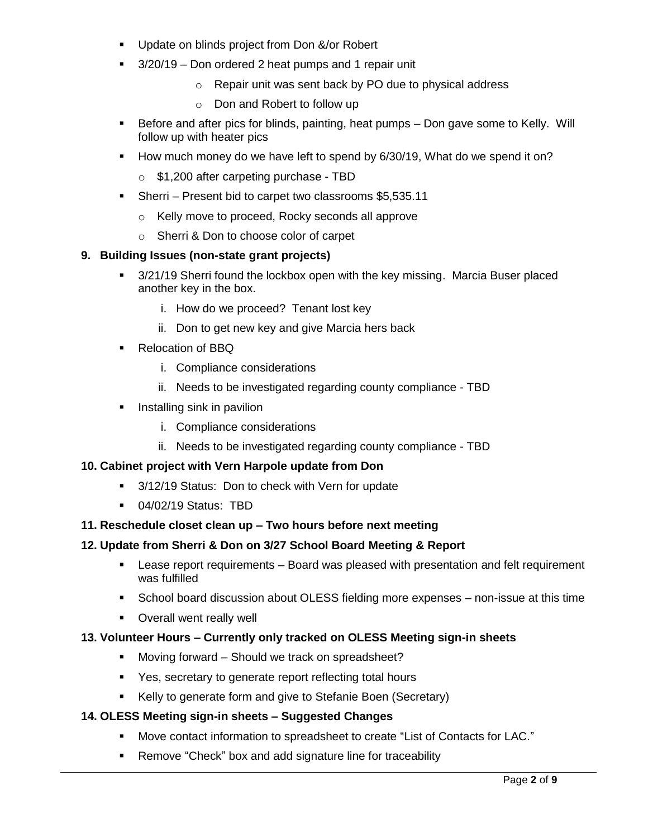- **Update on blinds project from Don &/or Robert**
- <sup>3</sup>/20/19 Don ordered 2 heat pumps and 1 repair unit
	- o Repair unit was sent back by PO due to physical address
	- o Don and Robert to follow up
- Before and after pics for blinds, painting, heat pumps Don gave some to Kelly. Will follow up with heater pics
- How much money do we have left to spend by 6/30/19, What do we spend it on?
	- o \$1,200 after carpeting purchase TBD
- Sherri Present bid to carpet two classrooms \$5,535.11
	- o Kelly move to proceed, Rocky seconds all approve
	- o Sherri & Don to choose color of carpet

# **9. Building Issues (non-state grant projects)**

- 3/21/19 Sherri found the lockbox open with the key missing. Marcia Buser placed another key in the box.
	- i. How do we proceed? Tenant lost key
	- ii. Don to get new key and give Marcia hers back
- Relocation of BBQ
	- i. Compliance considerations
	- ii. Needs to be investigated regarding county compliance TBD
- $\blacksquare$  Installing sink in pavilion
	- i. Compliance considerations
	- ii. Needs to be investigated regarding county compliance TBD

# **10. Cabinet project with Vern Harpole update from Don**

- 3/12/19 Status: Don to check with Vern for update
- 04/02/19 Status: TBD

# **11. Reschedule closet clean up – Two hours before next meeting**

# **12. Update from Sherri & Don on 3/27 School Board Meeting & Report**

- Lease report requirements Board was pleased with presentation and felt requirement was fulfilled
- School board discussion about OLESS fielding more expenses non-issue at this time
- **•** Overall went really well

# **13. Volunteer Hours – Currently only tracked on OLESS Meeting sign-in sheets**

- **Moving forward Should we track on spreadsheet?**
- Yes, secretary to generate report reflecting total hours
- Kelly to generate form and give to Stefanie Boen (Secretary)

# **14. OLESS Meeting sign-in sheets – Suggested Changes**

- Move contact information to spreadsheet to create "List of Contacts for LAC."
- Remove "Check" box and add signature line for traceability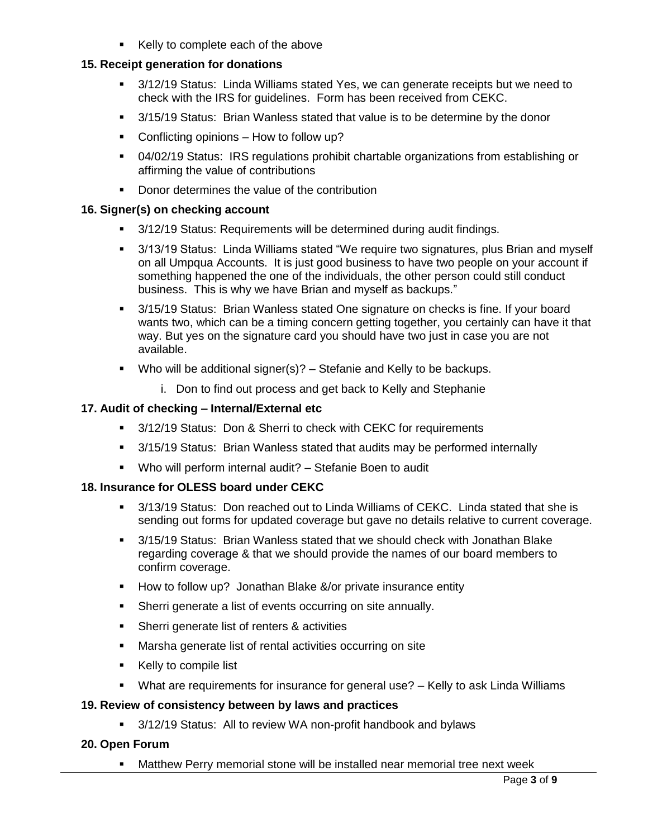Kelly to complete each of the above

## **15. Receipt generation for donations**

- 3/12/19 Status: Linda Williams stated Yes, we can generate receipts but we need to check with the IRS for guidelines. Form has been received from CEKC.
- 3/15/19 Status: Brian Wanless stated that value is to be determine by the donor
- Conflicting opinions How to follow up?
- 04/02/19 Status: IRS regulations prohibit chartable organizations from establishing or affirming the value of contributions
- Donor determines the value of the contribution

### **16. Signer(s) on checking account**

- 3/12/19 Status: Requirements will be determined during audit findings.
- 3/13/19 Status: Linda Williams stated "We require two signatures, plus Brian and myself on all Umpqua Accounts. It is just good business to have two people on your account if something happened the one of the individuals, the other person could still conduct business. This is why we have Brian and myself as backups."
- 3/15/19 Status: Brian Wanless stated One signature on checks is fine. If your board wants two, which can be a timing concern getting together, you certainly can have it that way. But yes on the signature card you should have two just in case you are not available.
- Who will be additional signer(s)?  $-$  Stefanie and Kelly to be backups.
	- i. Don to find out process and get back to Kelly and Stephanie

### **17. Audit of checking – Internal/External etc**

- 3/12/19 Status: Don & Sherri to check with CEKC for requirements
- 3/15/19 Status: Brian Wanless stated that audits may be performed internally
- Who will perform internal audit? Stefanie Boen to audit

#### **18. Insurance for OLESS board under CEKC**

- 3/13/19 Status: Don reached out to Linda Williams of CEKC. Linda stated that she is sending out forms for updated coverage but gave no details relative to current coverage.
- 3/15/19 Status: Brian Wanless stated that we should check with Jonathan Blake regarding coverage & that we should provide the names of our board members to confirm coverage.
- **How to follow up? Jonathan Blake &/or private insurance entity**
- Sherri generate a list of events occurring on site annually.
- Sherri generate list of renters & activities
- Marsha generate list of rental activities occurring on site
- Kelly to compile list
- What are requirements for insurance for general use? Kelly to ask Linda Williams

#### **19. Review of consistency between by laws and practices**

3/12/19 Status: All to review WA non-profit handbook and bylaws

# **20. Open Forum**

Matthew Perry memorial stone will be installed near memorial tree next week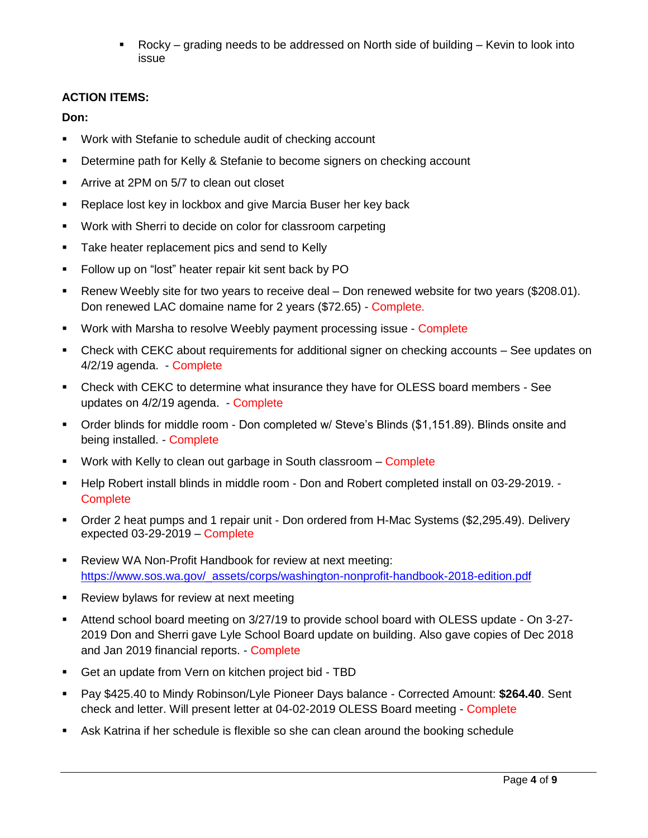Rocky – grading needs to be addressed on North side of building – Kevin to look into issue

# **ACTION ITEMS:**

**Don:**

- Work with Stefanie to schedule audit of checking account
- **•** Determine path for Kelly & Stefanie to become signers on checking account
- **EXECUTE:** Arrive at 2PM on 5/7 to clean out closet
- **Replace lost key in lockbox and give Marcia Buser her key back**
- Work with Sherri to decide on color for classroom carpeting
- **Take heater replacement pics and send to Kelly**
- **Follow up on "lost" heater repair kit sent back by PO**
- Renew Weebly site for two years to receive deal Don renewed website for two years (\$208.01). Don renewed LAC domaine name for 2 years (\$72.65) - Complete.
- Work with Marsha to resolve Weebly payment processing issue Complete
- Check with CEKC about requirements for additional signer on checking accounts See updates on 4/2/19 agenda. - Complete
- Check with CEKC to determine what insurance they have for OLESS board members See updates on 4/2/19 agenda. - Complete
- Order blinds for middle room Don completed w/ Steve's Blinds (\$1,151.89). Blinds onsite and being installed. - Complete
- **Work with Kelly to clean out garbage in South classroom Complete**
- Help Robert install blinds in middle room Don and Robert completed install on 03-29-2019. **Complete**
- Order 2 heat pumps and 1 repair unit Don ordered from H-Mac Systems (\$2,295.49). Delivery expected 03-29-2019 – Complete
- **-** Review WA Non-Profit Handbook for review at next meeting: [https://www.sos.wa.gov/\\_assets/corps/washington-nonprofit-handbook-2018-edition.pdf](https://www.sos.wa.gov/_assets/corps/washington-nonprofit-handbook-2018-edition.pdf)
- **Review bylaws for review at next meeting**
- Attend school board meeting on 3/27/19 to provide school board with OLESS update On 3-27- 2019 Don and Sherri gave Lyle School Board update on building. Also gave copies of Dec 2018 and Jan 2019 financial reports. - Complete
- Get an update from Vern on kitchen project bid TBD
- Pay \$425.40 to Mindy Robinson/Lyle Pioneer Days balance Corrected Amount: **\$264.40**. Sent check and letter. Will present letter at 04-02-2019 OLESS Board meeting - Complete
- Ask Katrina if her schedule is flexible so she can clean around the booking schedule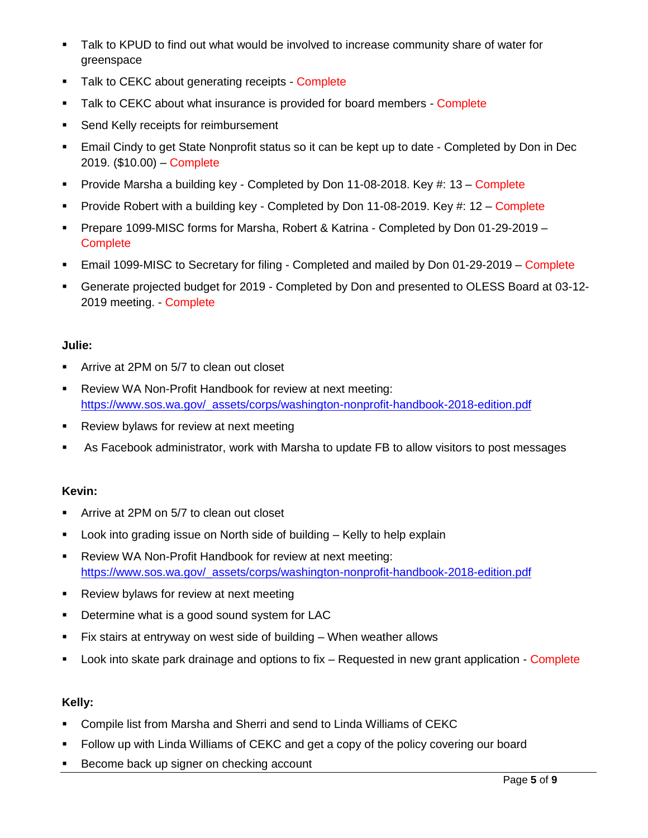- Talk to KPUD to find out what would be involved to increase community share of water for greenspace
- Talk to CEKC about generating receipts Complete
- **Talk to CEKC about what insurance is provided for board members Complete**
- **Send Kelly receipts for reimbursement**
- Email Cindy to get State Nonprofit status so it can be kept up to date Completed by Don in Dec 2019. (\$10.00) – Complete
- Provide Marsha a building key Completed by Don 11-08-2018. Key #: 13 Complete
- Provide Robert with a building key Completed by Don 11-08-2019. Key  $\#$ : 12 Complete
- Prepare 1099-MISC forms for Marsha, Robert & Katrina Completed by Don 01-29-2019 **Complete**
- Email 1099-MISC to Secretary for filing Completed and mailed by Don 01-29-2019 Complete
- Generate projected budget for 2019 Completed by Don and presented to OLESS Board at 03-12- 2019 meeting. - Complete

# **Julie:**

- **F** Arrive at 2PM on 5/7 to clean out closet
- Review WA Non-Profit Handbook for review at next meeting: [https://www.sos.wa.gov/\\_assets/corps/washington-nonprofit-handbook-2018-edition.pdf](https://www.sos.wa.gov/_assets/corps/washington-nonprofit-handbook-2018-edition.pdf)
- **Review bylaws for review at next meeting**
- As Facebook administrator, work with Marsha to update FB to allow visitors to post messages

# **Kevin:**

- **EXTERN Arrive at 2PM on 5/7 to clean out closet**
- **EXED** Look into grading issue on North side of building Kelly to help explain
- Review WA Non-Profit Handbook for review at next meeting: [https://www.sos.wa.gov/\\_assets/corps/washington-nonprofit-handbook-2018-edition.pdf](https://www.sos.wa.gov/_assets/corps/washington-nonprofit-handbook-2018-edition.pdf)
- **Review bylaws for review at next meeting**
- **Determine what is a good sound system for LAC**
- Fix stairs at entryway on west side of building When weather allows
- **Look into skate park drainage and options to fix Requested in new grant application Complete**

# **Kelly:**

- Compile list from Marsha and Sherri and send to Linda Williams of CEKC
- Follow up with Linda Williams of CEKC and get a copy of the policy covering our board
- Become back up signer on checking account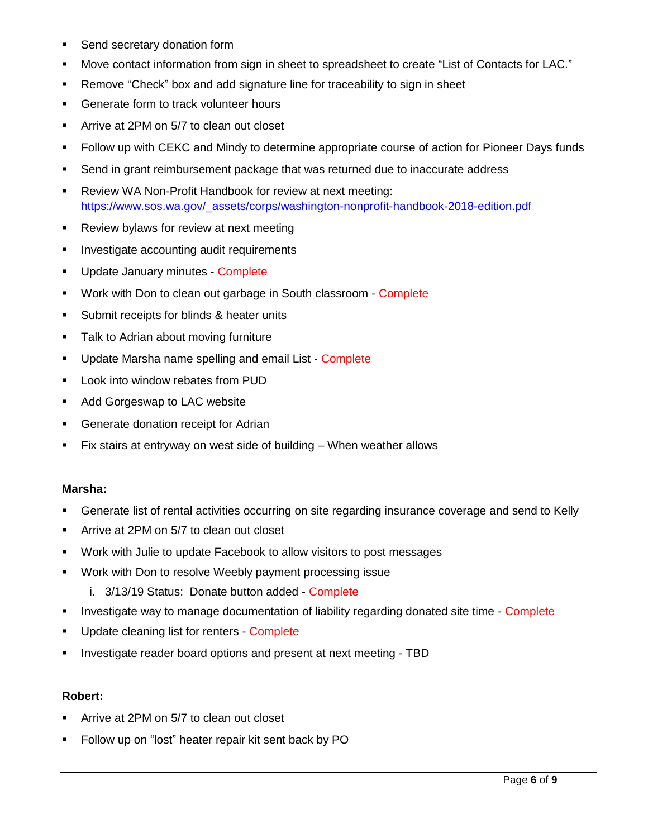- **Send secretary donation form**
- Move contact information from sign in sheet to spreadsheet to create "List of Contacts for LAC."
- Remove "Check" box and add signature line for traceability to sign in sheet
- **Generate form to track volunteer hours**
- **F** Arrive at 2PM on 5/7 to clean out closet
- Follow up with CEKC and Mindy to determine appropriate course of action for Pioneer Days funds
- **Send in grant reimbursement package that was returned due to inaccurate address**
- Review WA Non-Profit Handbook for review at next meeting: [https://www.sos.wa.gov/\\_assets/corps/washington-nonprofit-handbook-2018-edition.pdf](https://www.sos.wa.gov/_assets/corps/washington-nonprofit-handbook-2018-edition.pdf)
- **Review bylaws for review at next meeting**
- **Investigate accounting audit requirements**
- **Update January minutes Complete**
- **Work with Don to clean out garbage in South classroom Complete**
- **Submit receipts for blinds & heater units**
- **Talk to Adrian about moving furniture**
- **Update Marsha name spelling and email List Complete**
- **Look into window rebates from PUD**
- **Add Gorgeswap to LAC website**
- **Generate donation receipt for Adrian**
- Fix stairs at entryway on west side of building When weather allows

#### **Marsha:**

- Generate list of rental activities occurring on site regarding insurance coverage and send to Kelly
- **F** Arrive at 2PM on 5/7 to clean out closet
- Work with Julie to update Facebook to allow visitors to post messages
- **Work with Don to resolve Weebly payment processing issue** 
	- i. 3/13/19 Status: Donate button added Complete
- **Investigate way to manage documentation of liability regarding donated site time Complete**
- **Update cleaning list for renters Complete**
- **IDED** Investigate reader board options and present at next meeting TBD

#### **Robert:**

- Arrive at 2PM on 5/7 to clean out closet
- Follow up on "lost" heater repair kit sent back by PO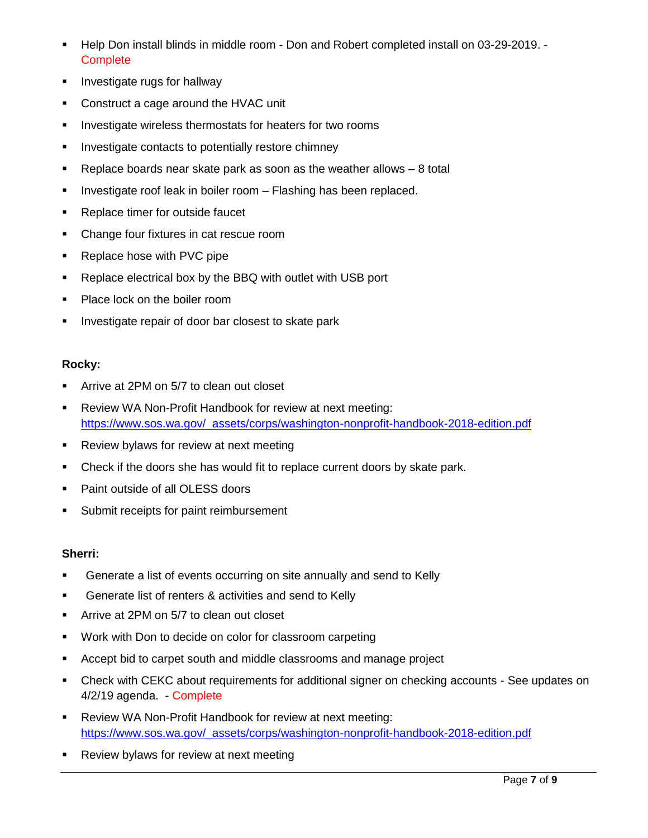- Help Don install blinds in middle room Don and Robert completed install on 03-29-2019. **Complete**
- **Investigate rugs for hallway**
- **Construct a cage around the HVAC unit**
- **Investigate wireless thermostats for heaters for two rooms**
- **Investigate contacts to potentially restore chimney**
- Replace boards near skate park as soon as the weather allows  $-8$  total
- **Investigate roof leak in boiler room Flashing has been replaced.**
- **Replace timer for outside faucet**
- Change four fixtures in cat rescue room
- **Replace hose with PVC pipe**
- Replace electrical box by the BBQ with outlet with USB port
- Place lock on the boiler room
- **Investigate repair of door bar closest to skate park**

### **Rocky:**

- **F** Arrive at 2PM on 5/7 to clean out closet
- Review WA Non-Profit Handbook for review at next meeting: [https://www.sos.wa.gov/\\_assets/corps/washington-nonprofit-handbook-2018-edition.pdf](https://www.sos.wa.gov/_assets/corps/washington-nonprofit-handbook-2018-edition.pdf)
- **Review bylaws for review at next meeting**
- Check if the doors she has would fit to replace current doors by skate park.
- Paint outside of all OLESS doors
- **Submit receipts for paint reimbursement**

#### **Sherri:**

- **Generate a list of events occurring on site annually and send to Kelly**
- **Generate list of renters & activities and send to Kelly**
- **F** Arrive at 2PM on 5/7 to clean out closet
- **Work with Don to decide on color for classroom carpeting**
- Accept bid to carpet south and middle classrooms and manage project
- Check with CEKC about requirements for additional signer on checking accounts See updates on 4/2/19 agenda. - Complete
- Review WA Non-Profit Handbook for review at next meeting: [https://www.sos.wa.gov/\\_assets/corps/washington-nonprofit-handbook-2018-edition.pdf](https://www.sos.wa.gov/_assets/corps/washington-nonprofit-handbook-2018-edition.pdf)
- **Review bylaws for review at next meeting**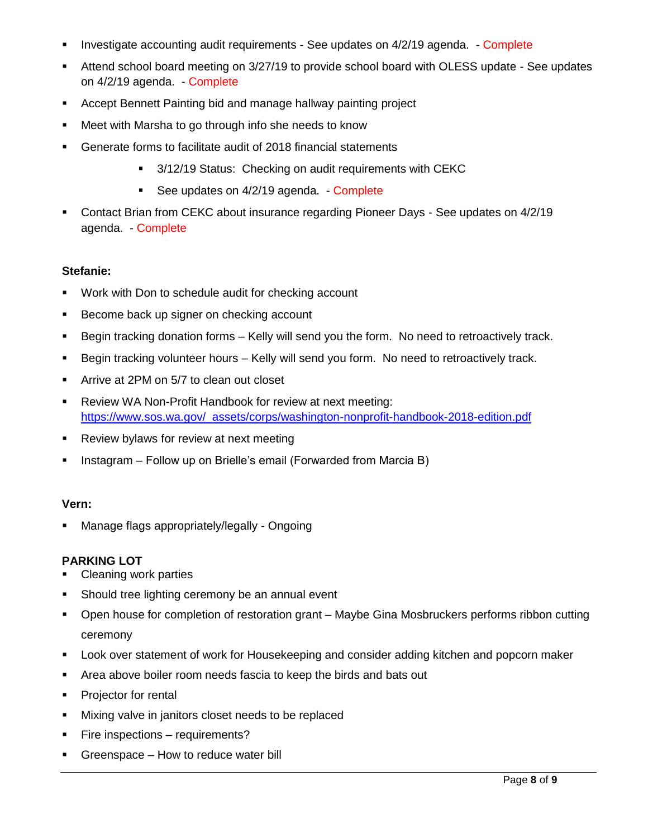- **Investigate accounting audit requirements See updates on 4/2/19 agenda. Complete**
- Attend school board meeting on 3/27/19 to provide school board with OLESS update See updates on 4/2/19 agenda. - Complete
- Accept Bennett Painting bid and manage hallway painting project
- Meet with Marsha to go through info she needs to know
- Generate forms to facilitate audit of 2018 financial statements
	- 3/12/19 Status: Checking on audit requirements with CEKC
	- See updates on 4/2/19 agenda. Complete
- Contact Brian from CEKC about insurance regarding Pioneer Days See updates on 4/2/19 agenda. - Complete

### **Stefanie:**

- Work with Don to schedule audit for checking account
- Become back up signer on checking account
- Begin tracking donation forms Kelly will send you the form. No need to retroactively track.
- Begin tracking volunteer hours Kelly will send you form. No need to retroactively track.
- **EXTERN Arrive at 2PM on 5/7 to clean out closet**
- Review WA Non-Profit Handbook for review at next meeting: [https://www.sos.wa.gov/\\_assets/corps/washington-nonprofit-handbook-2018-edition.pdf](https://www.sos.wa.gov/_assets/corps/washington-nonprofit-handbook-2018-edition.pdf)
- Review bylaws for review at next meeting
- **Instagram Follow up on Brielle's email (Forwarded from Marcia B)**

#### **Vern:**

**Manage flags appropriately/legally - Ongoing** 

#### **PARKING LOT**

- Cleaning work parties
- **Should tree lighting ceremony be an annual event**
- Open house for completion of restoration grant Maybe Gina Mosbruckers performs ribbon cutting ceremony
- Look over statement of work for Housekeeping and consider adding kitchen and popcorn maker
- Area above boiler room needs fascia to keep the birds and bats out
- **Projector for rental**
- **Mixing valve in janitors closet needs to be replaced**
- **Fire inspections requirements?**
- Greenspace How to reduce water bill